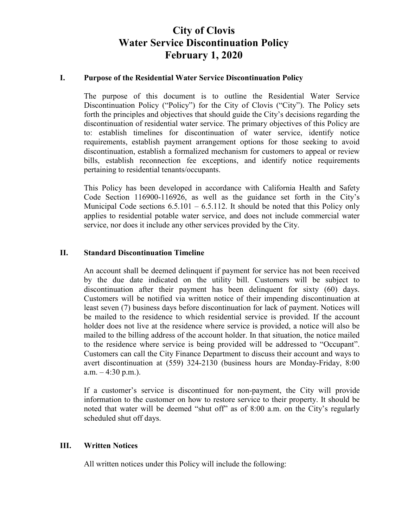# **City of Clovis Water Service Discontinuation Policy February 1, 2020**

### **I. Purpose of the Residential Water Service Discontinuation Policy**

The purpose of this document is to outline the Residential Water Service Discontinuation Policy ("Policy") for the City of Clovis ("City"). The Policy sets forth the principles and objectives that should guide the City's decisions regarding the discontinuation of residential water service. The primary objectives of this Policy are to: establish timelines for discontinuation of water service, identify notice requirements, establish payment arrangement options for those seeking to avoid discontinuation, establish a formalized mechanism for customers to appeal or review bills, establish reconnection fee exceptions, and identify notice requirements pertaining to residential tenants/occupants.

This Policy has been developed in accordance with California Health and Safety Code Section 116900-116926, as well as the guidance set forth in the City's Municipal Code sections  $6.5.101 - 6.5.112$ . It should be noted that this Policy only applies to residential potable water service, and does not include commercial water service, nor does it include any other services provided by the City.

### **II. Standard Discontinuation Timeline**

An account shall be deemed delinquent if payment for service has not been received by the due date indicated on the utility bill. Customers will be subject to discontinuation after their payment has been delinquent for sixty (60) days. Customers will be notified via written notice of their impending discontinuation at least seven (7) business days before discontinuation for lack of payment. Notices will be mailed to the residence to which residential service is provided. If the account holder does not live at the residence where service is provided, a notice will also be mailed to the billing address of the account holder. In that situation, the notice mailed to the residence where service is being provided will be addressed to "Occupant". Customers can call the City Finance Department to discuss their account and ways to avert discontinuation at (559) 324-2130 (business hours are Monday-Friday, 8:00  $a.m. - 4:30 p.m.$ ).

If a customer's service is discontinued for non-payment, the City will provide information to the customer on how to restore service to their property. It should be noted that water will be deemed "shut off" as of 8:00 a.m. on the City's regularly scheduled shut off days.

## **III. Written Notices**

All written notices under this Policy will include the following: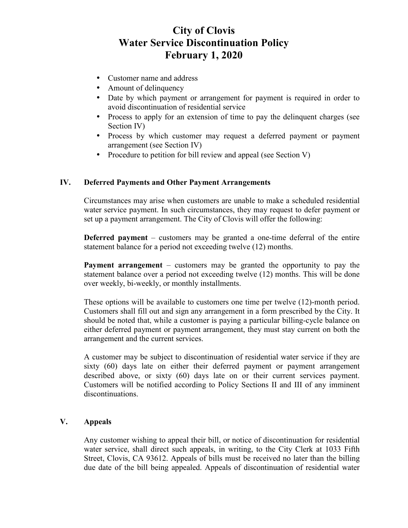# **City of Clovis Water Service Discontinuation Policy February 1, 2020**

- Customer name and address
- Amount of delinquency
- Date by which payment or arrangement for payment is required in order to avoid discontinuation of residential service
- Process to apply for an extension of time to pay the delinquent charges (see Section IV)
- Process by which customer may request a deferred payment or payment arrangement (see Section IV)
- Procedure to petition for bill review and appeal (see Section V)

## **IV. Deferred Payments and Other Payment Arrangements**

Circumstances may arise when customers are unable to make a scheduled residential water service payment. In such circumstances, they may request to defer payment or set up a payment arrangement. The City of Clovis will offer the following:

**Deferred payment** – customers may be granted a one-time deferral of the entire statement balance for a period not exceeding twelve (12) months.

**Payment arrangement** – customers may be granted the opportunity to pay the statement balance over a period not exceeding twelve (12) months. This will be done over weekly, bi-weekly, or monthly installments.

These options will be available to customers one time per twelve (12)-month period. Customers shall fill out and sign any arrangement in a form prescribed by the City. It should be noted that, while a customer is paying a particular billing-cycle balance on either deferred payment or payment arrangement, they must stay current on both the arrangement and the current services.

A customer may be subject to discontinuation of residential water service if they are sixty (60) days late on either their deferred payment or payment arrangement described above, or sixty (60) days late on or their current services payment. Customers will be notified according to Policy Sections II and III of any imminent discontinuations.

## **V. Appeals**

Any customer wishing to appeal their bill, or notice of discontinuation for residential water service, shall direct such appeals, in writing, to the City Clerk at 1033 Fifth Street, Clovis, CA 93612. Appeals of bills must be received no later than the billing due date of the bill being appealed. Appeals of discontinuation of residential water